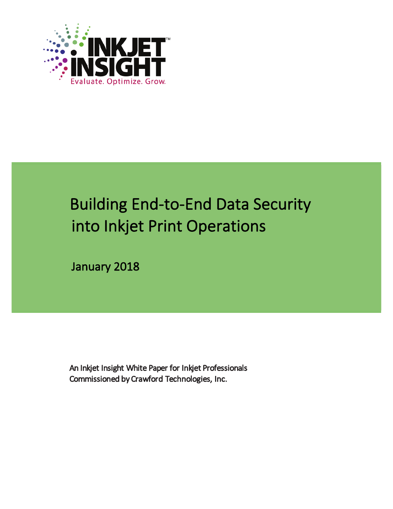

# **B g d a Building End-to-End Data Security into Inkjet Print Operations**

**y 8 January 2018** 

An Inkjet Insight White Paper for Inkjet Professionals **Commissioned by Crawford Technologies, Inc.**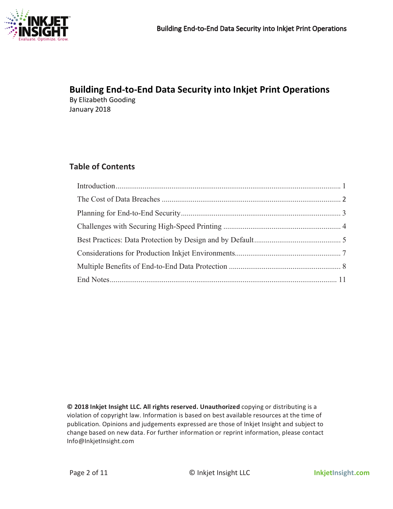

# **Building End-to-End Data Security into Inkjet Print Operations**

**By Elizabeth Gooding** January 2018

## **Table of Contents**

© 2018 Inkjet Insight LLC. All rights reserved. Unauthorized copying or distributing is a violation of copyright law. Information is based on best available resources at the time of publication. Opinions and judgements expressed are those of Inkjet Insight and subject to change based on new data. For further information or reprint information, please contact **[Info@InkjetInsight.com](mailto:Info@InkjetInsight.com)**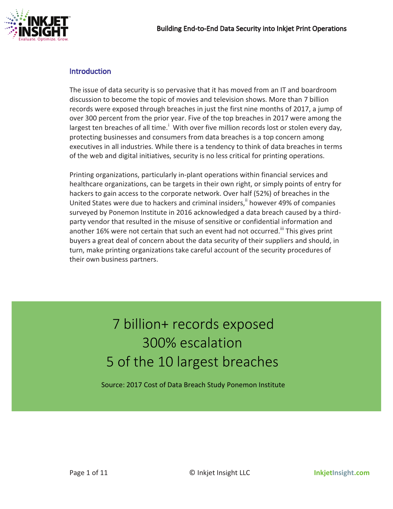

#### **Introduction**

largest ten breaches of all time.<sup>i</sup> With over five million records lost or stolen every day, The issue of data security is so pervasive that it has moved from an IT and boardroom discussion to become the topic of movies and television shows. More than 7 billion records were exposed through breaches in just the first nine months of 2017, a jump of over 300 percent from the prior year. Five of the top breaches in 2017 were among the protecting businesses and consumers from data breaches is a top concern among executives in all industries. While there is a tendency to think of data breaches in terms of the web and digital initiatives, security is no less critical for printing operations.

United States were due to hackers and criminal insiders,<sup>ii</sup> however 49% of companies another 16% were not certain that such an event had not occurred.<sup>iii</sup> This gives print **Printing organizations, particularly in-plant operations within financial services and** healthcare organizations, can be targets in their own right, or simply points of entry for hackers to gain access to the corporate network. Over half (52%) of breaches in the surveyed by Ponemon Institute in 2016 acknowledged a data breach caused by a thirdparty vendor that resulted in the misuse of sensitive or confidential information and buyers a great deal of concern about the data security of their suppliers and should, in turn, make printing organizations take careful account of the security procedures of their own business partners.

> **7 billion+ records exposed 300%** escalation **5** of the 10 largest breaches

Source: 2017 Cost of Data Breach Study Ponemon Institute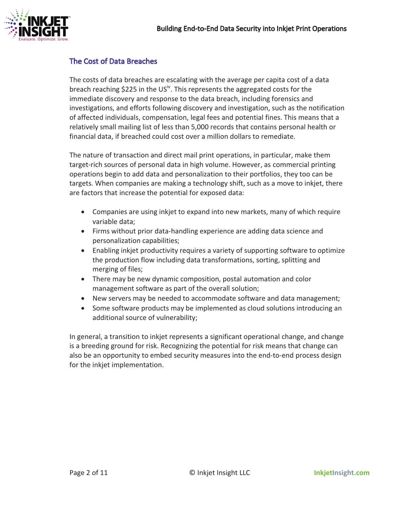

#### **The Cost of Data Breaches**

The costs of data breaches are escalating with the average per capita cost of a data breach reaching \$225 in the US<sup>iv</sup>. This represents the aggregated costs for the immediate discovery and response to the data breach, including forensics and investigations, and efforts following discovery and investigation, such as the notification of affected individuals, compensation, legal fees and potential fines. This means that a relatively small mailing list of less than 5,000 records that contains personal health or financial data, if breached could cost over a million dollars to remediate.

operations begin to add data and personalization to their portfolios, they too can be The nature of transaction and direct mail print operations, in particular, make them **target-rich sources of personal data in high volume. However, as commercial printing** targets. When companies are making a technology shift, such as a move to inkjet, there are factors that increase the potential for exposed data:

- Companies are using inkjet to expand into new markets, many of which require **variable** data;
- Firms without prior data-handling experience are adding data science and **personalization capabilities;**
- **•** Enabling inkjet productivity requires a variety of supporting software to optimize the production flow including data transformations, sorting, splitting and merging of files;
- There may be new dynamic composition, postal automation and color management software as part of the overall solution;
- New servers may be needed to accommodate software and data management;
- Some software products may be implemented as cloud solutions introducing an additional source of vulnerability;

In general, a transition to inkjet represents a significant operational change, and change is a breeding ground for risk. Recognizing the potential for risk means that change can also be an opportunity to embed security measures into the end-to-end process design for the inkjet implementation.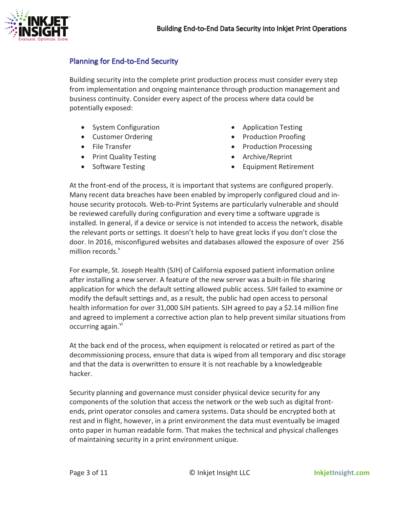

#### **Planning for End-to-End Security**

Building security into the complete print production process must consider every step from implementation and ongoing maintenance through production management and business continuity. Consider every aspect of the process where data could be **potentially exposed:** 

- **• System Configuration**
- Customer Ordering
- **• File Transfer**
- **•** Print Quality Testing
- Software Testing
- **• Application Testing**
- **•** Production Proofing
- **•** Production Processing
- Archive/Reprint
- **• Equipment Retirement**

At the front-end of the process, it is important that systems are configured properly. Many recent data breaches have been enabled by improperly configured cloud and inhouse security protocols. Web-to-Print Systems are particularly vulnerable and should be reviewed carefully during configuration and every time a software upgrade is installed. In general, if a device or service is not intended to access the network, disable the relevant ports or settings. It doesn't help to have great locks if you don't close the door. In 2016, misconfigured websites and databases allowed the exposure of over 256 million records.<sup>v</sup>

For example, St. Joseph Health (SJH) of California exposed patient information online after installing a new server. A feature of the new server was a built-in file sharing application for which the default setting allowed public access. SJH failed to examine or modify the default settings and, as a result, the public had open access to personal health information for over 31,000 SJH patients. SJH agreed to pay a \$2.14 million fine and agreed to implement a corrective action plan to help prevent similar situations from **occurring again. vi**

At the back end of the process, when equipment is relocated or retired as part of the decommissioning process, ensure that data is wiped from all temporary and disc storage and that the data is overwritten to ensure it is not reachable by a knowledgeable **hacker.** 

ends, print operator consoles and camera systems. Data should be encrypted both at Security planning and governance must consider physical device security for any components of the solution that access the network or the web such as digital frontrest and in flight, however, in a print environment the data must eventually be imaged **onto paper in human readable form. That makes the technical and physical challenges** of maintaining security in a print environment unique.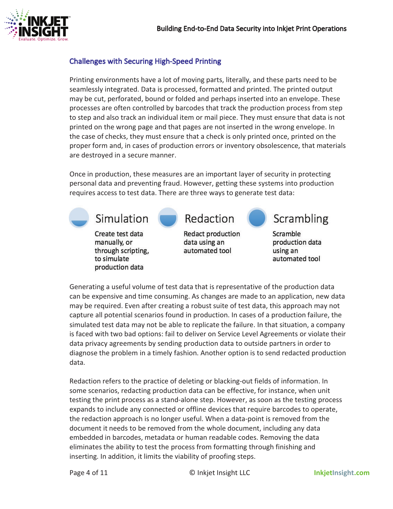

## **s h g d Challenges with Securing High-Speed Printing**

Printing environments have a lot of moving parts, literally, and these parts need to be seamlessly integrated. Data is processed, formatted and printed. The printed output may be cut, perforated, bound or folded and perhaps inserted into an envelope. These processes are often controlled by barcodes that track the production process from step to step and also track an individual item or mail piece. They must ensure that data is not printed on the wrong page and that pages are not inserted in the wrong envelope. In the case of checks, they must ensure that a check is only printed once, printed on the **proper form and, in cases of production errors or inventory obsolescence, that materials** are destroyed in a secure manner.

Once in production, these measures are an important layer of security in protecting personal data and preventing fraud. However, getting these systems into production requires access to test data. There are three ways to generate test data:



Generating a useful volume of test data that is representative of the production data can be expensive and time consuming. As changes are made to an application, new data may be required. Even after creating a robust suite of test data, this approach may not capture all potential scenarios found in production. In cases of a production failure, the simulated test data may not be able to replicate the failure. In that situation, a company is faced with two bad options: fail to deliver on Service Level Agreements or violate their data privacy agreements by sending production data to outside partners in order to diagnose the problem in a timely fashion. Another option is to send redacted production data.

**Redaction refers to the practice of deleting or blacking-out fields of information. In** some scenarios, redacting production data can be effective, for instance, when unit **testing the print process as a stand-alone step. However, as soon as the testing process** expands to include any connected or offline devices that require barcodes to operate, the redaction approach is no longer useful. When a data-point is removed from the document it needs to be removed from the whole document, including any data embedded in barcodes, metadata or human readable codes. Removing the data **eliminates the ability to test the process from formatting through finishing and inserting.** In addition, it limits the viability of proofing steps.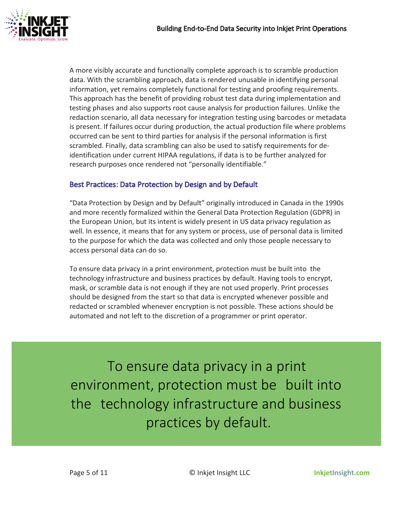

A more visibly accurate and functionally complete approach is to scramble production data. With the scrambling approach, data is rendered unusable in identifying personal information, yet remains completely functional for testing and proofing requirements. This approach has the benefit of providing robust test data during implementation and **testing phases and also supports root cause analysis for production failures. Unlike the** redaction scenario, all data necessary for integration testing using barcodes or metadata is present. If failures occur during production, the actual production file where problems **occurred can be sent to third parties for analysis if the personal information is first** scrambled. Finally, data scrambling can also be used to satisfy requirements for deidentification under current HIPAA regulations, if data is to be further analyzed for research purposes once rendered not "personally identifiable."

#### **Best Practices: Data Protection by Design and by Default**

"Data Protection by Design and by Default" originally introduced in Canada in the 1990s and more recently formalized within the General Data Protection Regulation (GDPR) in the European Union, but its intent is widely present in US data privacy regulation as well. In essence, it means that for any system or process, use of personal data is limited to the purpose for which the data was collected and only those people necessary to access personal data can do so.

To ensure data privacy in a print environment, protection must be built into the **technology infrastructure and business practices by default. Having tools to encrypt,** mask, or scramble data is not enough if they are not used properly. Print processes should be designed from the start so that data is encrypted whenever possible and redacted or scrambled whenever encryption is not possible. These actions should be automated and not left to the discretion of a programmer or print operator.

To ensure data privacy in a print **environment, protection must be built into** the technology infrastructure and business practices by default.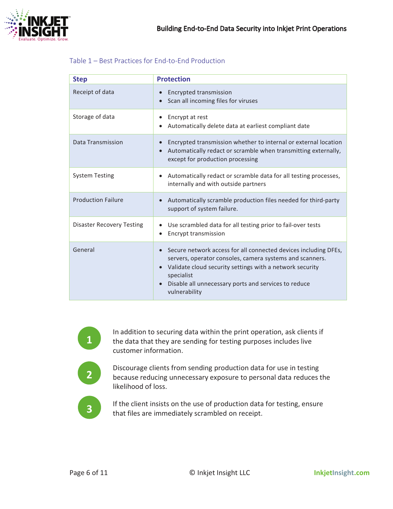

#### Table 1 – Best Practices for End-to-End Production

| <b>Step</b>                      | <b>Protection</b>                                                                                                                                                                                                                                                                                                     |
|----------------------------------|-----------------------------------------------------------------------------------------------------------------------------------------------------------------------------------------------------------------------------------------------------------------------------------------------------------------------|
| Receipt of data                  | Encrypted transmission<br>$\bullet$<br>Scan all incoming files for viruses<br>$\bullet$                                                                                                                                                                                                                               |
| Storage of data                  | Encrypt at rest<br>$\bullet$<br>Automatically delete data at earliest compliant date<br>$\bullet$                                                                                                                                                                                                                     |
| <b>Data Transmission</b>         | Encrypted transmission whether to internal or external location<br>$\bullet$<br>Automatically redact or scramble when transmitting externally,<br>$\bullet$<br>except for production processing                                                                                                                       |
| <b>System Testing</b>            | Automatically redact or scramble data for all testing processes,<br>$\bullet$<br>internally and with outside partners                                                                                                                                                                                                 |
| <b>Production Failure</b>        | Automatically scramble production files needed for third-party<br>$\bullet$<br>support of system failure.                                                                                                                                                                                                             |
| <b>Disaster Recovery Testing</b> | Use scrambled data for all testing prior to fail-over tests<br>$\bullet$<br><b>Encrypt transmission</b><br>$\bullet$                                                                                                                                                                                                  |
| General                          | Secure network access for all connected devices including DFEs,<br>$\bullet$<br>servers, operator consoles, camera systems and scanners.<br>Validate cloud security settings with a network security<br>$\bullet$<br>specialist<br>Disable all unnecessary ports and services to reduce<br>$\bullet$<br>vulnerability |



In addition to securing data within the print operation, ask clients if the data that they are sending for testing purposes includes live customer information.



Discourage clients from sending production data for use in testing because reducing unnecessary exposure to personal data reduces the likelihood of loss.

**3**

If the client insists on the use of production data for testing, ensure that files are immediately scrambled on receipt.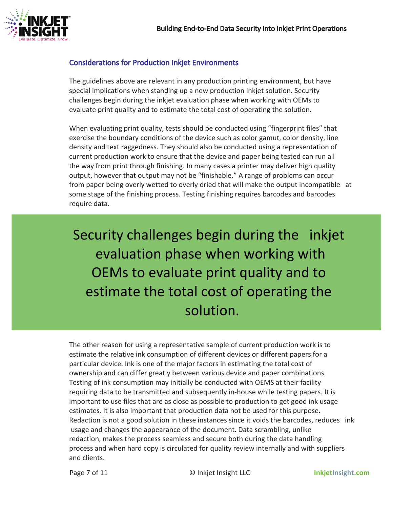

#### **Considerations for Production Inkjet Environments**

The guidelines above are relevant in any production printing environment, but have special implications when standing up a new production inkjet solution. Security challenges begin during the inkjet evaluation phase when working with OEMs to evaluate print quality and to estimate the total cost of operating the solution.

When evaluating print quality, tests should be conducted using "fingerprint files" that exercise the boundary conditions of the device such as color gamut, color density, line density and text raggedness. They should also be conducted using a representation of current production work to ensure that the device and paper being tested can run all the way from print through finishing. In many cases a printer may deliver high quality output, however that output may not be "finishable." A range of problems can occur from paper being overly wetted to overly dried that will make the output incompatible at some stage of the finishing process. Testing finishing requires barcodes and barcodes require data.

**Security challenges begin during the inkjet evaluation phase when working with OEMs to evaluate print quality and to estimate the total cost of operating the solution.**

The other reason for using a representative sample of current production work is to **estimate the relative ink consumption of different devices or different papers for a** particular device. Ink is one of the major factors in estimating the total cost of **ownership and can differ greatly between various device and paper combinations.** Testing of ink consumption may initially be conducted with OEMS at their facility requiring data to be transmitted and subsequently in-house while testing papers. It is **important to use files that are as close as possible to production to get good ink usage** estimates. It is also important that production data not be used for this purpose. Redaction is not a good solution in these instances since it voids the barcodes, reduces ink usage and changes the appearance of the document. Data scrambling, unlike redaction, makes the process seamless and secure both during the data handling process and when hard copy is circulated for quality review internally and with suppliers and clients.

**Page 7 of 11 C** Inkjet Insight LLC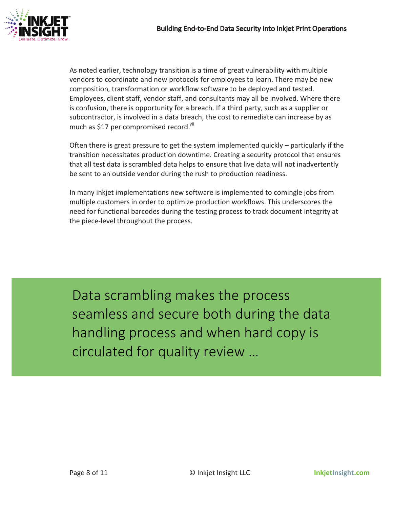

As noted earlier, technology transition is a time of great vulnerability with multiple **vendors to coordinate and new protocols for employees to learn. There may be new** composition, transformation or workflow software to be deployed and tested. Employees, client staff, vendor staff, and consultants may all be involved. Where there is confusion, there is opportunity for a breach. If a third party, such as a supplier or subcontractor, is involved in a data breach, the cost to remediate can increase by as much as \$17 per compromised record.<sup>vii</sup>

**Often there is great pressure to get the system implemented quickly – particularly if the** transition necessitates production downtime. Creating a security protocol that ensures that all test data is scrambled data helps to ensure that live data will not inadvertently be sent to an outside vendor during the rush to production readiness.

In many inkjet implementations new software is implemented to comingle jobs from multiple customers in order to optimize production workflows. This underscores the need for functional barcodes during the testing process to track document integrity at the piece-level throughout the process.

Data scrambling makes the process seamless and secure both during the data handling process and when hard copy is circulated for quality review ...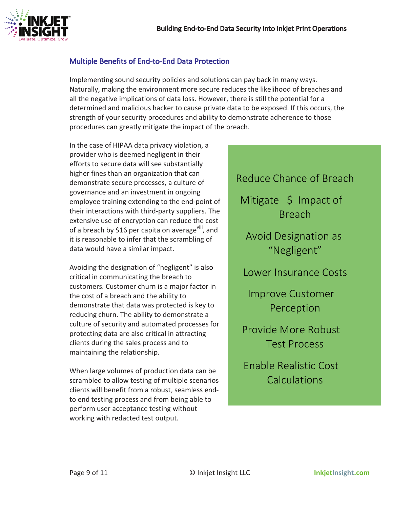

## **Multiple Benefits of End-to-End Data Protection**

**Implementing sound security policies and solutions can pay back in many ways.** Naturally, making the environment more secure reduces the likelihood of breaches and all the negative implications of data loss. However, there is still the potential for a determined and malicious hacker to cause private data to be exposed. If this occurs, the strength of your security procedures and ability to demonstrate adherence to those procedures can greatly mitigate the impact of the breach.

**employee training extending to the end-point of** In the case of HIPAA data privacy violation, a provider who is deemed negligent in their efforts to secure data will see substantially higher fines than an organization that can demonstrate secure processes, a culture of governance and an investment in ongoing **their interactions with third-party suppliers. The** extensive use of encryption can reduce the cost of a breach by \$16 per capita on average<sup>viii</sup>, and it is reasonable to infer that the scrambling of data would have a similar impact.

Avoiding the designation of "negligent" is also critical in communicating the breach to customers. Customer churn is a major factor in the cost of a breach and the ability to demonstrate that data was protected is key to reducing churn. The ability to demonstrate a culture of security and automated processes for protecting data are also critical in attracting clients during the sales process and to maintaining the relationship.

When large volumes of production data can be **scrambled to allow testing of multiple scenarios** clients will benefit from a robust, seamless endto end testing process and from being able to perform user acceptance testing without working with redacted test output.

**Reduce Chance of Breach Mitigate**  $\frac{1}{2}$  **Impact of Breach Avoid Designation as "Negligent" Lower Insurance Costs Improve Customer Perception Provide More Robust Test Process Enable Realistic Cost Calculations**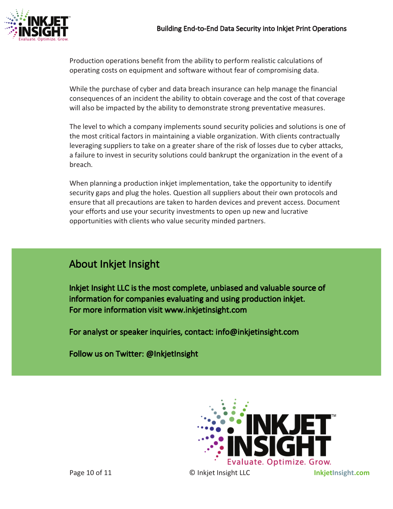

Production operations benefit from the ability to perform realistic calculations of operating costs on equipment and software without fear of compromising data.

will also be impacted by the ability to demonstrate strong preventative measures. While the purchase of cyber and data breach insurance can help manage the financial consequences of an incident the ability to obtain coverage and the cost of that coverage

The level to which a company implements sound security policies and solutions is one of the most critical factors in maintaining a viable organization. With clients contractually leveraging suppliers to take on a greater share of the risk of losses due to cyber attacks, a failure to invest in security solutions could bankrupt the organization in the event of a **breach.** 

When planning a production inkjet implementation, take the opportunity to identify security gaps and plug the holes. Question all suppliers about their own protocols and ensure that all precautions are taken to harden devices and prevent access. Document **your efforts and use your security investments to open up new and lucrative opportunities with clients who value security minded partners.** 

# **About Inkjet Insight**

Inkjet Insight LLC is the most complete, unbiased and valuable source of  **. information for companies evaluating and using production inkjet t For more information visi www.inkjetinsight .com**

 **, : i For analyst or speaker inquiries contact nfo@inkjetinsight.com**

 **: Follow us on Twitter @InkjetInsight**